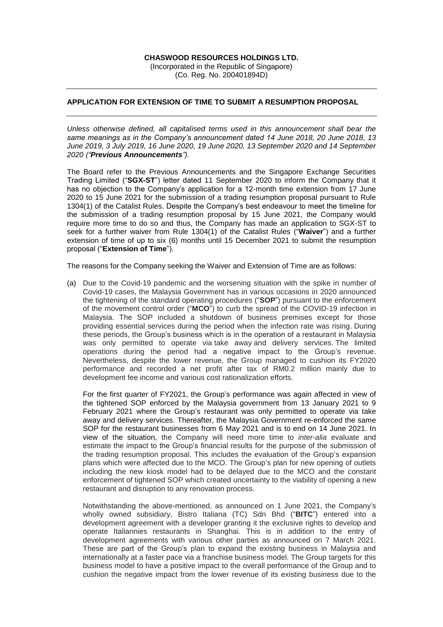## **CHASWOOD RESOURCES HOLDINGS LTD.**

(Incorporated in the Republic of Singapore) (Co. Reg. No. 200401894D)

## **APPLICATION FOR EXTENSION OF TIME TO SUBMIT A RESUMPTION PROPOSAL**

*Unless otherwise defined, all capitalised terms used in this announcement shall bear the same meanings as in the Company's announcement dated 14 June 2018, 20 June 2018, 13 June 2019, 3 July 2019, 16 June 2020, 19 June 2020, 13 September 2020 and 14 September 2020 ("Previous Announcements").*

The Board refer to the Previous Announcements and the Singapore Exchange Securities Trading Limited ("**SGX-ST**") letter dated 11 September 2020 to inform the Company that it has no objection to the Company's application for a 12-month time extension from 17 June 2020 to 15 June 2021 for the submission of a trading resumption proposal pursuant to Rule 1304(1) of the Catalist Rules. Despite the Company's best endeavour to meet the timeline for the submission of a trading resumption proposal by 15 June 2021, the Company would require more time to do so and thus, the Company has made an application to SGX-ST to seek for a further waiver from Rule 1304(1) of the Catalist Rules ("**Waiver**") and a further extension of time of up to six (6) months until 15 December 2021 to submit the resumption proposal ("**Extension of Time**").

The reasons for the Company seeking the Waiver and Extension of Time are as follows:

(a) Due to the Covid-19 pandemic and the worsening situation with the spike in number of Covid-19 cases, the Malaysia Government has in various occasions in 2020 announced the tightening of the standard operating procedures ("**SOP**") pursuant to the enforcement of the movement control order ("**MCO**") to curb the spread of the COVID-19 infection in Malaysia. The SOP included a shutdown of business premises except for those providing essential services during the period when the infection rate was rising. During these periods, the Group's business which is in the operation of a restaurant in Malaysia was only permitted to operate via take away and delivery services. The limited operations during the period had a negative impact to the Group's revenue. Nevertheless, despite the lower revenue, the Group managed to cushion its FY2020 performance and recorded a net profit after tax of RM0.2 million mainly due to development fee income and various cost rationalization efforts.

For the first quarter of FY2021, the Group's performance was again affected in view of the tightened SOP enforced by the Malaysia government from 13 January 2021 to 9 February 2021 where the Group's restaurant was only permitted to operate via take away and delivery services. Thereafter, the Malaysia Government re-enforced the same SOP for the restaurant businesses from 6 May 2021 and is to end on 14 June 2021. In view of the situation, the Company will need more time to *inter-alia* evaluate and estimate the impact to the Group's financial results for the purpose of the submission of the trading resumption proposal. This includes the evaluation of the Group's expansion plans which were affected due to the MCO. The Group's plan for new opening of outlets including the new kiosk model had to be delayed due to the MCO and the constant enforcement of tightened SOP which created uncertainty to the viability of opening a new restaurant and disruption to any renovation process.

Notwithstanding the above-mentioned, as announced on 1 June 2021, the Company's wholly owned subsidiary, Bistro Italiana (TC) Sdn Bhd ("**BITC**") entered into a development agreement with a developer granting it the exclusive rights to develop and operate Italiannies restaurants in Shanghai. This is in addition to the entry of development agreements with various other parties as announced on 7 March 2021. These are part of the Group's plan to expand the existing business in Malaysia and internationally at a faster pace via a franchise business model. The Group targets for this business model to have a positive impact to the overall performance of the Group and to cushion the negative impact from the lower revenue of its existing business due to the